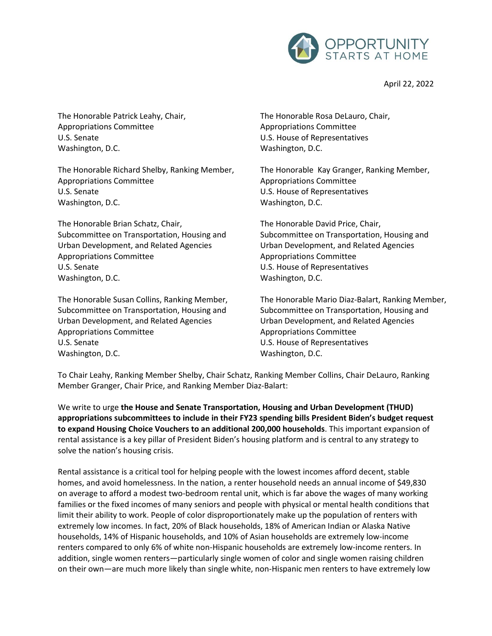

April 22, 2022

The Honorable Patrick Leahy, Chair, Appropriations Committee U.S. Senate Washington, D.C.

The Honorable Richard Shelby, Ranking Member, Appropriations Committee U.S. Senate Washington, D.C.

The Honorable Brian Schatz, Chair, Subcommittee on Transportation, Housing and Urban Development, and Related Agencies Appropriations Committee U.S. Senate Washington, D.C.

The Honorable Susan Collins, Ranking Member, Subcommittee on Transportation, Housing and Urban Development, and Related Agencies Appropriations Committee U.S. Senate Washington, D.C.

The Honorable Rosa DeLauro, Chair, Appropriations Committee U.S. House of Representatives Washington, D.C.

The Honorable Kay Granger, Ranking Member, Appropriations Committee U.S. House of Representatives Washington, D.C.

The Honorable David Price, Chair, Subcommittee on Transportation, Housing and Urban Development, and Related Agencies Appropriations Committee U.S. House of Representatives Washington, D.C.

The Honorable Mario Diaz-Balart, Ranking Member, Subcommittee on Transportation, Housing and Urban Development, and Related Agencies Appropriations Committee U.S. House of Representatives Washington, D.C.

To Chair Leahy, Ranking Member Shelby, Chair Schatz, Ranking Member Collins, Chair DeLauro, Ranking Member Granger, Chair Price, and Ranking Member Diaz-Balart:

We write to urge **the House and Senate Transportation, Housing and Urban Development (THUD) appropriations subcommittees to include in their FY23 spending bills President Biden's budget request to expand Housing Choice Vouchers to an additional 200,000 households**. This important expansion of rental assistance is a key pillar of President Biden's housing platform and is central to any strategy to solve the nation's housing crisis.

Rental assistance is a critical tool for helping people with the lowest incomes afford decent, stable homes, and avoid homelessness. In the nation, a renter household needs an annual income of \$49,830 on average to afford a modest two-bedroom rental unit, which is far above the wages of many working families or the fixed incomes of many seniors and people with physical or mental health conditions that limit their ability to work. People of color disproportionately make up the population of renters with extremely low incomes. In fact, 20% of Black households, 18% of American Indian or Alaska Native households, 14% of Hispanic households, and 10% of Asian households are extremely low-income renters compared to only 6% of white non-Hispanic households are extremely low-income renters. In addition, single women renters—particularly single women of color and single women raising children on their own—are much more likely than single white, non-Hispanic men renters to have extremely low